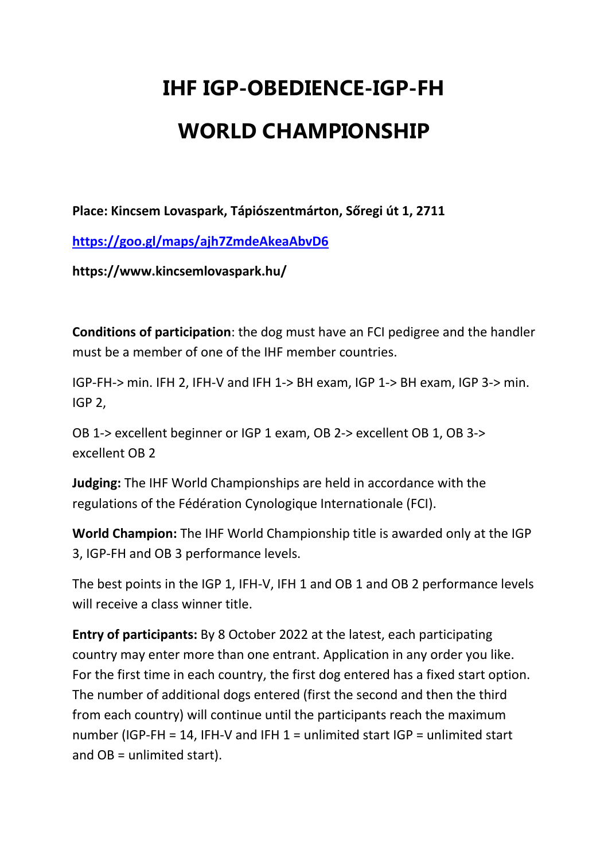## **IHF IGP-OBEDIENCE-IGP-FH WORLD CHAMPIONSHIP**

**Place: Kincsem Lovaspark, Tápiószentmárton, Sőregi út 1, 2711** 

**https://goo.gl/maps/ajh7ZmdeAkeaAbvD6**

**https://www.kincsemlovaspark.hu/** 

**Conditions of participation**: the dog must have an FCI pedigree and the handler must be a member of one of the IHF member countries.

IGP-FH-> min. IFH 2, IFH-V and IFH 1-> BH exam, IGP 1-> BH exam, IGP 3-> min. IGP 2,

OB 1-> excellent beginner or IGP 1 exam, OB 2-> excellent OB 1, OB 3-> excellent OB 2

**Judging:** The IHF World Championships are held in accordance with the regulations of the Fédération Cynologique Internationale (FCI).

**World Champion:** The IHF World Championship title is awarded only at the IGP 3, IGP-FH and OB 3 performance levels.

The best points in the IGP 1, IFH-V, IFH 1 and OB 1 and OB 2 performance levels will receive a class winner title.

**Entry of participants:** By 8 October 2022 at the latest, each participating country may enter more than one entrant. Application in any order you like. For the first time in each country, the first dog entered has a fixed start option. The number of additional dogs entered (first the second and then the third from each country) will continue until the participants reach the maximum number (IGP-FH = 14, IFH-V and IFH  $1$  = unlimited start IGP = unlimited start and OB = unlimited start).